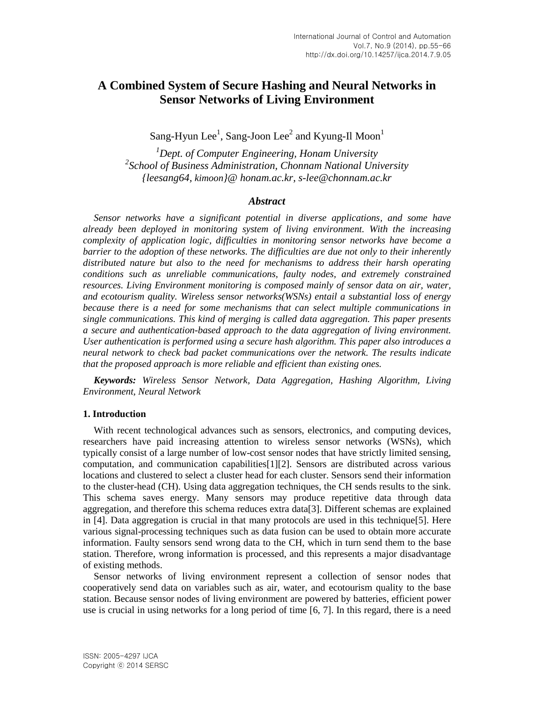# **A Combined System of Secure Hashing and Neural Networks in Sensor Networks of Living Environment**

Sang-Hyun Lee $^1$ , Sang-Joon Lee $^2$  and Kyung-Il Moon $^1$ 

*<sup>1</sup>Dept. of Computer Engineering, Honam University 2 School of Business Administration, Chonnam National University {leesang64, kimoon}@ honam.ac.kr, s-lee@chonnam.ac.kr*

#### *Abstract*

*Sensor networks have a significant potential in diverse applications, and some have already been deployed in monitoring system of living environment. With the increasing complexity of application logic, difficulties in monitoring sensor networks have become a barrier to the adoption of these networks. The difficulties are due not only to their inherently distributed nature but also to the need for mechanisms to address their harsh operating conditions such as unreliable communications, faulty nodes, and extremely constrained resources. Living Environment monitoring is composed mainly of sensor data on air, water, and ecotourism quality. Wireless sensor networks(WSNs) entail a substantial loss of energy because there is a need for some mechanisms that can select multiple communications in single communications. This kind of merging is called data aggregation. This paper presents a secure and authentication-based approach to the data aggregation of living environment. User authentication is performed using a secure hash algorithm. This paper also introduces a neural network to check bad packet communications over the network. The results indicate that the proposed approach is more reliable and efficient than existing ones.*

*Keywords: Wireless Sensor Network, Data Aggregation, Hashing Algorithm, Living Environment, Neural Network*

#### **1. Introduction**

With recent technological advances such as sensors, electronics, and computing devices, researchers have paid increasing attention to wireless sensor networks (WSNs), which typically consist of a large number of low-cost sensor nodes that have strictly limited sensing, computation, and communication capabilities[1][2]. Sensors are distributed across various locations and clustered to select a cluster head for each cluster. Sensors send their information to the cluster-head (CH). Using data aggregation techniques, the CH sends results to the sink. This schema saves energy. Many sensors may produce repetitive data through data aggregation, and therefore this schema reduces extra data[3]. Different schemas are explained in [4]. Data aggregation is crucial in that many protocols are used in this technique[5]. Here various signal-processing techniques such as data fusion can be used to obtain more accurate information. Faulty sensors send wrong data to the CH, which in turn send them to the base station. Therefore, wrong information is processed, and this represents a major disadvantage of existing methods.

Sensor networks of living environment represent a collection of sensor nodes that cooperatively send data on variables such as air, water, and ecotourism quality to the base station. Because sensor nodes of living environment are powered by batteries, efficient power use is crucial in using networks for a long period of time [6, 7]. In this regard, there is a need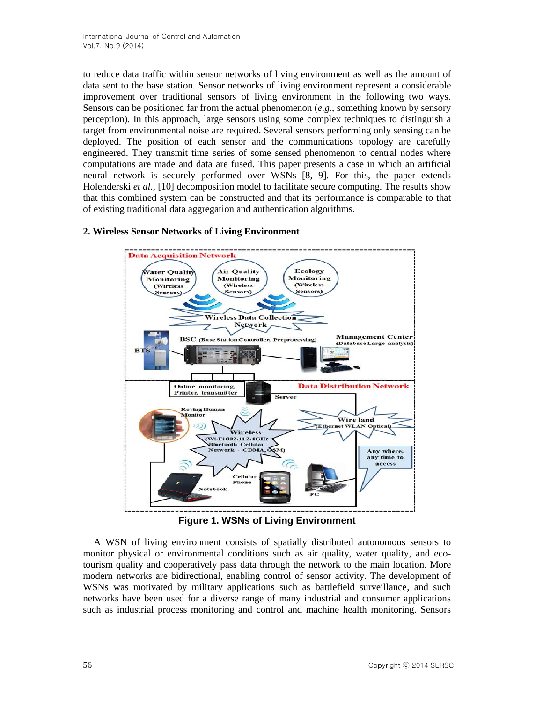to reduce data traffic within sensor networks of living environment as well as the amount of data sent to the base station. Sensor networks of living environment represent a considerable improvement over traditional sensors of living environment in the following two ways. Sensors can be positioned far from the actual phenomenon (*e.g.*, something known by sensory perception). In this approach, large sensors using some complex techniques to distinguish a target from environmental noise are required. Several sensors performing only sensing can be deployed. The position of each sensor and the communications topology are carefully engineered. They transmit time series of some sensed phenomenon to central nodes where computations are made and data are fused. This paper presents a case in which an artificial neural network is securely performed over WSNs [8, 9]. For this, the paper extends Holenderski *et al.*, [10] decomposition model to facilitate secure computing. The results show that this combined system can be constructed and that its performance is comparable to that of existing traditional data aggregation and authentication algorithms.



### **2. Wireless Sensor Networks of Living Environment**

**Figure 1. WSNs of Living Environment**

A WSN of living environment consists of spatially distributed autonomous sensors to monitor physical or environmental conditions such as air quality, water quality, and ecotourism quality and cooperatively pass data through the network to the main location. More modern networks are bidirectional, enabling control of sensor activity. The development of WSNs was motivated by military applications such as battlefield surveillance, and such networks have been used for a diverse range of many industrial and consumer applications such as industrial process monitoring and control and machine health monitoring. Sensors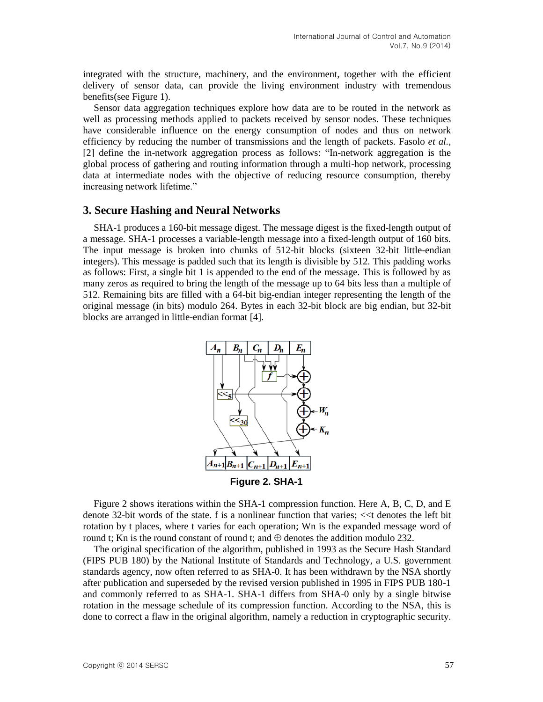integrated with the structure, machinery, and the environment, together with the efficient delivery of sensor data, can provide the living environment industry with tremendous benefits(see Figure 1).

Sensor data aggregation techniques explore how data are to be routed in the network as well as processing methods applied to packets received by sensor nodes. These techniques have considerable influence on the energy consumption of nodes and thus on network efficiency by reducing the number of transmissions and the length of packets. Fasolo *et al.*, [2] define the in-network aggregation process as follows: "In-network aggregation is the global process of gathering and routing information through a multi-hop network, processing data at intermediate nodes with the objective of reducing resource consumption, thereby increasing network lifetime."

#### **3. Secure Hashing and Neural Networks**

SHA-1 produces a 160-bit message digest. The message digest is the fixed-length output of a message. SHA-1 processes a variable-length message into a fixed-length output of 160 bits. The input message is broken into chunks of 512-bit blocks (sixteen 32-bit little-endian integers). This message is padded such that its length is divisible by 512. This padding works as follows: First, a single bit 1 is appended to the end of the message. This is followed by as many zeros as required to bring the length of the message up to 64 bits less than a multiple of 512. Remaining bits are filled with a 64-bit big-endian integer representing the length of the original message (in bits) modulo 264. Bytes in each 32-bit block are big endian, but 32-bit blocks are arranged in little-endian format [4].



**Figure 2. SHA-1**

Figure 2 shows iterations within the SHA-1 compression function. Here A, B, C, D, and E denote 32-bit words of the state. f is a nonlinear function that varies; <<t denotes the left bit rotation by t places, where t varies for each operation; Wn is the expanded message word of round t; Kn is the round constant of round t; and  $\oplus$  denotes the addition modulo 232.

The original specification of the algorithm, published in 1993 as the Secure Hash Standard (FIPS PUB 180) by the National Institute of Standards and Technology, a U.S. government standards agency, now often referred to as SHA-0. It has been withdrawn by the NSA shortly after publication and superseded by the revised version published in 1995 in FIPS PUB 180-1 and commonly referred to as SHA-1. SHA-1 differs from SHA-0 only by a single bitwise rotation in the message schedule of its compression function. According to the NSA, this is done to correct a flaw in the original algorithm, namely a reduction in cryptographic security.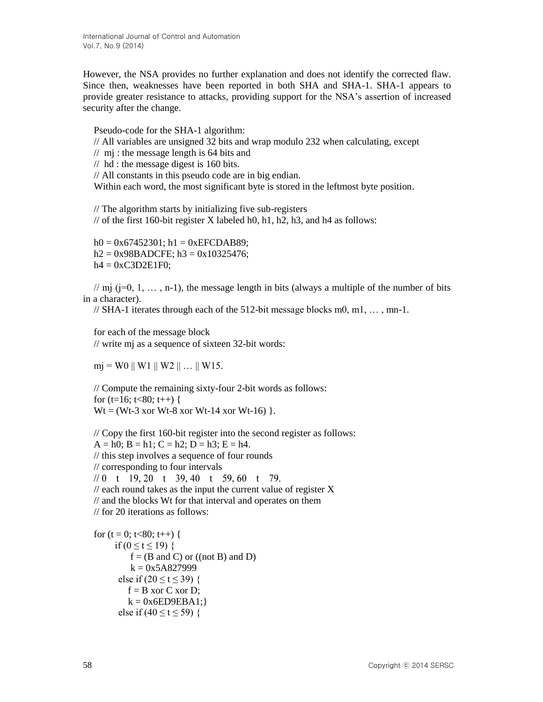However, the NSA provides no further explanation and does not identify the corrected flaw. Since then, weaknesses have been reported in both SHA and SHA-1. SHA-1 appears to provide greater resistance to attacks, providing support for the NSA's assertion of increased security after the change.

Pseudo-code for the SHA-1 algorithm:

// All variables are unsigned 32 bits and wrap modulo 232 when calculating, except

// mj : the message length is 64 bits and

// hd : the message digest is 160 bits.

// All constants in this pseudo code are in big endian.

Within each word, the most significant byte is stored in the leftmost byte position.

// The algorithm starts by initializing five sub-registers // of the first 160-bit register X labeled h0, h1, h2, h3, and h4 as follows:

 $h0 = 0x67452301$ ;  $h1 = 0xEFCDAB89$ ;  $h2 = 0x98BADCFE$ ;  $h3 = 0x10325476$ ;  $h4 = 0xC3D2E1F0;$ 

// mj (j=0, 1, ..., n-1), the message length in bits (always a multiple of the number of bits in a character).

// SHA-1 iterates through each of the 512-bit message blocks m0, m1, … , mn-1.

for each of the message block // write mj as a sequence of sixteen 32-bit words:

 $mj = W0 || W1 || W2 || ... || W15.$ 

// Compute the remaining sixty-four 2-bit words as follows: for  $(t=16; t<80; t++)$  {  $Wt = (Wt-3 \times Wt-8 \times Wt-14 \times Wt-16)$ .

// Copy the first 160-bit register into the second register as follows:  $A = h0$ ;  $B = h1$ ;  $C = h2$ ;  $D = h3$ ;  $E = h4$ . // this step involves a sequence of four rounds // corresponding to four intervals // 0 t 19, 20 t 39, 40 t 59, 60 t 79. // each round takes as the input the current value of register X // and the blocks Wt for that interval and operates on them // for 20 iterations as follows:

for  $(t = 0; t < 80; t++)$  { if  $(0 \le t \le 19)$  {  $f = (B \text{ and } C)$  or  $((\text{not } B) \text{ and } D)$  $k = 0x5A827999$ else if  $(20 \le t \le 39)$  {  $f = B$  xor C xor D;  $k = 0x6ED9EBA1$ ; else if (40  $\le t \le 59$ ) {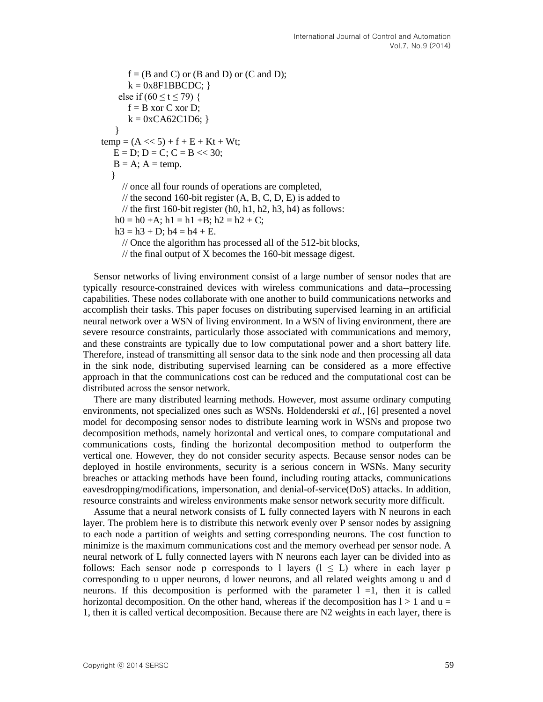```
f = (B \text{ and } C) or (B \text{ and } D) or (C \text{ and } D);
       k = 0x8F1BBCDC;else if (60 \le t \le 79) {
       f = B xor C xor D;
       k = 0xCA62C1D6; }
    }
temp = (A \ll 5) + f + E + Kt + Wt;E = D; D = C; C = B \ll 30;
   B = A; A = temp.
    }
      // once all four rounds of operations are completed, 
     // the second 160-bit register (A, B, C, D, E) is added to
     // the first 160-bit register (h0, h1, h2, h3, h4) as follows:
   h0 = h0 + A; h1 = h1 + B; h2 = h2 + C;
   h3 = h3 + D; h4 = h4 + E.
      // Once the algorithm has processed all of the 512-bit blocks, 
     \frac{1}{10} the final output of X becomes the 160-bit message digest.
```
Sensor networks of living environment consist of a large number of sensor nodes that are typically resource-constrained devices with wireless communications and data--processing capabilities. These nodes collaborate with one another to build communications networks and accomplish their tasks. This paper focuses on distributing supervised learning in an artificial neural network over a WSN of living environment. In a WSN of living environment, there are severe resource constraints, particularly those associated with communications and memory, and these constraints are typically due to low computational power and a short battery life. Therefore, instead of transmitting all sensor data to the sink node and then processing all data in the sink node, distributing supervised learning can be considered as a more effective approach in that the communications cost can be reduced and the computational cost can be distributed across the sensor network.

There are many distributed learning methods. However, most assume ordinary computing environments, not specialized ones such as WSNs. Holdenderski *et al.*, [6] presented a novel model for decomposing sensor nodes to distribute learning work in WSNs and propose two decomposition methods, namely horizontal and vertical ones, to compare computational and communications costs, finding the horizontal decomposition method to outperform the vertical one. However, they do not consider security aspects. Because sensor nodes can be deployed in hostile environments, security is a serious concern in WSNs. Many security breaches or attacking methods have been found, including routing attacks, communications eavesdropping/modifications, impersonation, and denial-of-service(DoS) attacks. In addition, resource constraints and wireless environments make sensor network security more difficult.

Assume that a neural network consists of L fully connected layers with N neurons in each layer. The problem here is to distribute this network evenly over P sensor nodes by assigning to each node a partition of weights and setting corresponding neurons. The cost function to minimize is the maximum communications cost and the memory overhead per sensor node. A neural network of L fully connected layers with N neurons each layer can be divided into as follows: Each sensor node p corresponds to l layers ( $l \leq L$ ) where in each layer p corresponding to u upper neurons, d lower neurons, and all related weights among u and d neurons. If this decomposition is performed with the parameter  $l = 1$ , then it is called horizontal decomposition. On the other hand, whereas if the decomposition has  $l > 1$  and  $u =$ 1, then it is called vertical decomposition. Because there are N2 weights in each layer, there is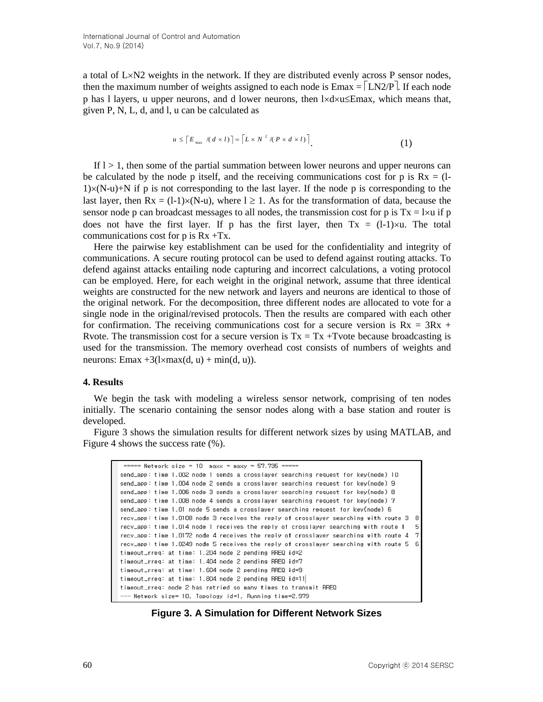a total of  $L \times N2$  weights in the network. If they are distributed evenly across P sensor nodes, then the maximum number of weights assigned to each node is  $Emax = [LN2/P]$ . If each node p has l layers, u upper neurons, and d lower neurons, then  $1 \times d \times u \leq E$  max, which means that, given P, N, L, d, and l, u can be calculated as

$$
u \leq \left\lceil E_{\text{max}} \left( \left( d \times l \right) \right) \right\rceil = \left\lceil L \times N^2 \left( \left( P \times d \times l \right) \right) \right\rceil. \tag{1}
$$

If  $1 > 1$ , then some of the partial summation between lower neurons and upper neurons can be calculated by the node p itself, and the receiving communications cost for p is  $Rx = (l 1 \times (N-u) + N$  if p is not corresponding to the last layer. If the node p is corresponding to the last layer, then  $Rx = (l-1)\times(N-u)$ , where  $l \ge 1$ . As for the transformation of data, because the sensor node p can broadcast messages to all nodes, the transmission cost for p is  $Tx = 1 \times u$  if p does not have the first layer. If p has the first layer, then  $Tx = (l-1)\times u$ . The total communications cost for  $p$  is  $Rx + Tx$ .

Here the pairwise key establishment can be used for the confidentiality and integrity of communications. A secure routing protocol can be used to defend against routing attacks. To defend against attacks entailing node capturing and incorrect calculations, a voting protocol can be employed. Here, for each weight in the original network, assume that three identical weights are constructed for the new network and layers and neurons are identical to those of the original network. For the decomposition, three different nodes are allocated to vote for a single node in the original/revised protocols. Then the results are compared with each other for confirmation. The receiving communications cost for a secure version is  $Rx = 3Rx +$ Rvote. The transmission cost for a secure version is  $Tx = Tx + T$ vote because broadcasting is used for the transmission. The memory overhead cost consists of numbers of weights and neurons: Emax  $+3$ (1×max(d, u) + min(d, u)).

#### **4. Results**

We begin the task with modeling a wireless sensor network, comprising of ten nodes initially. The scenario containing the sensor nodes along with a base station and router is developed.

Figure 3 shows the simulation results for different network sizes by using MATLAB, and Figure 4 shows the success rate (%).

```
==== Network size = 10 maxx = maxy = 57.735 =====
send_app: time 1.002 node 1 sends a crosslayer searching request for key(node) 10
send_app: time 1.004 node 2 sends a crosslayer searching request for key(node) 9
send_app: time 1.006 node 3 sends a crosslayer searching request for key(node) 8
send_app: time 1.008 node 4 sends a crosslayer searching request for key(node) 7
send_app: time 1.01 node 5 sends a crosslayer searching request for key(node) 6
recy_app: time 1.0108 node 3 receives the reply of crosslayer searching with route 3 8
recv_app: time 1.014 node 1 receives the reply of crosslayer searching with route 1
recv_app: time 1.0172 node 4 receives the reply of crosslayer searching with route 4 7
recy_app: time 1.0249 node 5 receives the reply of crosslayer searching with route 5 6
timeout_rreq: at time: 1.204 node 2 pending RREQ id=2
timeout_rreq: at time: 1.404 node 2 pending RREQ id=7
timeout_rreq: at time: 1.604 node 2 pending RREQ id=9
timeout_rreq: at time: 1.804 node 2 pending RREQ id=11
timeout_rreq: node 2 has retried so many times to transmit RREQ
--- Network size= 10, Topology id=1, Running time=2.979
```
**Figure 3. A Simulation for Different Network Sizes**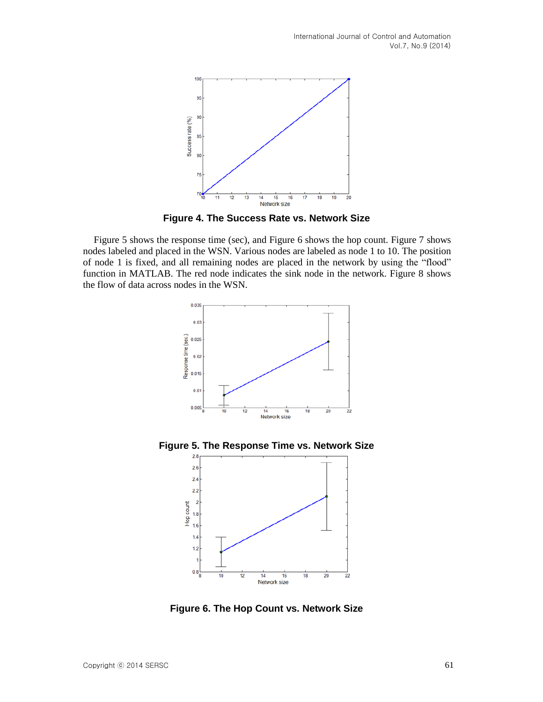

**Figure 4. The Success Rate vs. Network Size**

Figure 5 shows the response time (sec), and Figure 6 shows the hop count. Figure 7 shows nodes labeled and placed in the WSN. Various nodes are labeled as node 1 to 10. The position of node 1 is fixed, and all remaining nodes are placed in the network by using the "flood" function in MATLAB. The red node indicates the sink node in the network. Figure 8 shows the flow of data across nodes in the WSN.



**Figure 5. The Response Time vs. Network Size**



**Figure 6. The Hop Count vs. Network Size**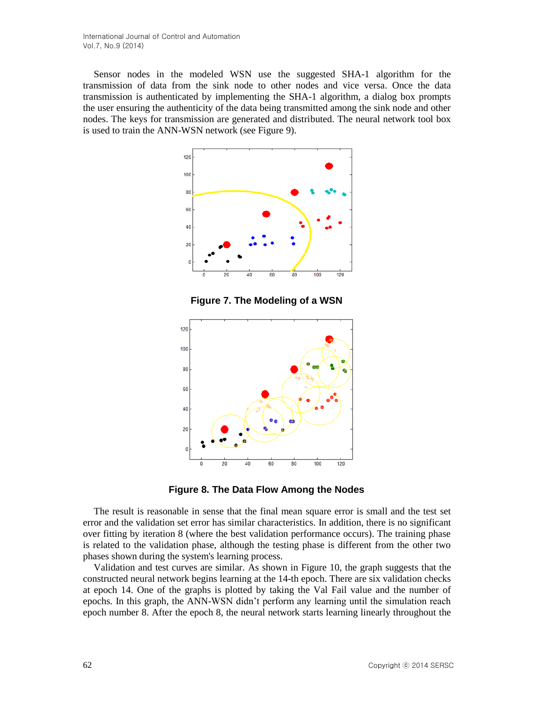Sensor nodes in the modeled WSN use the suggested SHA-1 algorithm for the transmission of data from the sink node to other nodes and vice versa. Once the data transmission is authenticated by implementing the SHA-1 algorithm, a dialog box prompts the user ensuring the authenticity of the data being transmitted among the sink node and other nodes. The keys for transmission are generated and distributed. The neural network tool box is used to train the ANN-WSN network (see Figure 9).



**Figure 7. The Modeling of a WSN**



**Figure 8. The Data Flow Among the Nodes**

The result is reasonable in sense that the final mean square error is small and the test set error and the validation set error has similar characteristics. In addition, there is no significant over fitting by iteration 8 (where the best validation performance occurs). The training phase is related to the validation phase, although the testing phase is different from the other two phases shown during the system's learning process.

Validation and test curves are similar. As shown in Figure 10, the graph suggests that the constructed neural network begins learning at the 14-th epoch. There are six validation checks at epoch 14. One of the graphs is plotted by taking the Val Fail value and the number of epochs. In this graph, the ANN-WSN didn't perform any learning until the simulation reach epoch number 8. After the epoch 8, the neural network starts learning linearly throughout the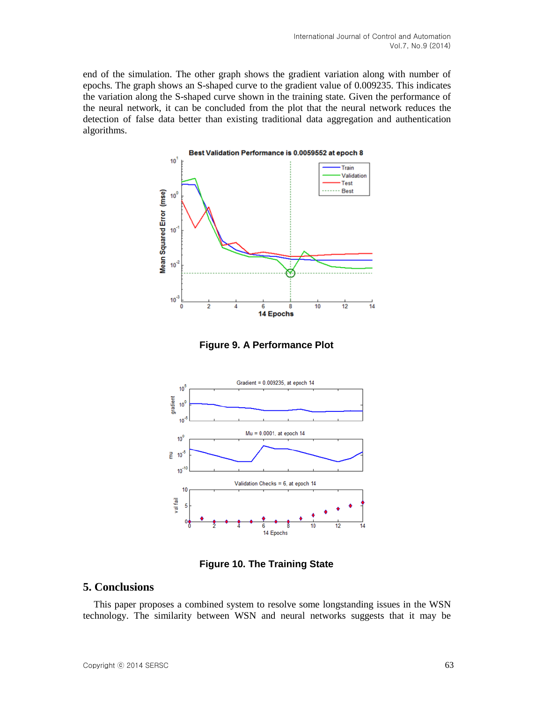end of the simulation. The other graph shows the gradient variation along with number of epochs. The graph shows an S-shaped curve to the gradient value of 0.009235. This indicates the variation along the S-shaped curve shown in the training state. Given the performance of the neural network, it can be concluded from the plot that the neural network reduces the detection of false data better than existing traditional data aggregation and authentication algorithms.







**Figure 10. The Training State**

## **5. Conclusions**

This paper proposes a combined system to resolve some longstanding issues in the WSN technology. The similarity between WSN and neural networks suggests that it may be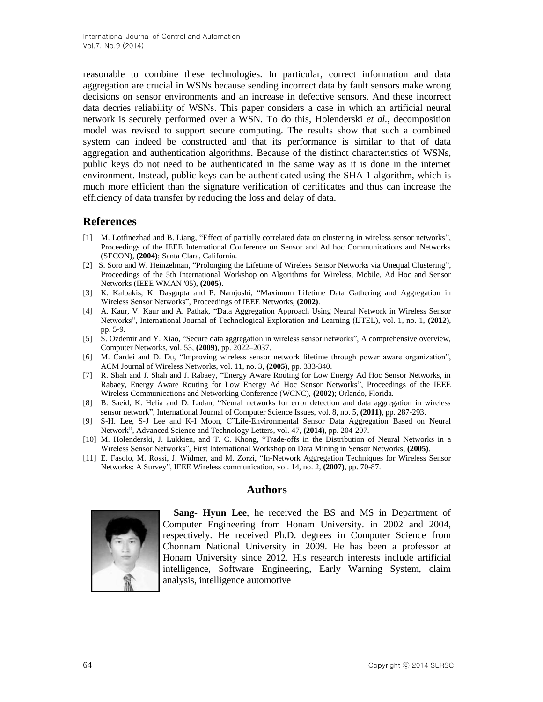reasonable to combine these technologies. In particular, correct information and data aggregation are crucial in WSNs because sending incorrect data by fault sensors make wrong decisions on sensor environments and an increase in defective sensors. And these incorrect data decries reliability of WSNs. This paper considers a case in which an artificial neural network is securely performed over a WSN. To do this, Holenderski *et al.*, decomposition model was revised to support secure computing. The results show that such a combined system can indeed be constructed and that its performance is similar to that of data aggregation and authentication algorithms. Because of the distinct characteristics of WSNs, public keys do not need to be authenticated in the same way as it is done in the internet environment. Instead, public keys can be authenticated using the SHA-1 algorithm, which is much more efficient than the signature verification of certificates and thus can increase the efficiency of data transfer by reducing the loss and delay of data.

### **References**

- [1] M. Lotfinezhad and B. Liang, "Effect of partially correlated data on clustering in wireless sensor networks", Proceedings of the IEEE International Conference on Sensor and Ad hoc Communications and Networks (SECON), **(2004)**; Santa Clara, California.
- [2] S. Soro and W. Heinzelman, "Prolonging the Lifetime of Wireless Sensor Networks via Unequal Clustering", Proceedings of the 5th International Workshop on Algorithms for Wireless, Mobile, Ad Hoc and Sensor Networks (IEEE WMAN '05), **(2005)**.
- [3] K. Kalpakis, K. Dasgupta and P. Namjoshi, "Maximum Lifetime Data Gathering and Aggregation in Wireless Sensor Networks", Proceedings of IEEE Networks, **(2002)**.
- [4] A. Kaur, V. Kaur and A. Pathak, "Data Aggregation Approach Using Neural Network in Wireless Sensor Networks", International Journal of Technological Exploration and Learning (IJTEL), vol. 1, no. 1, **(2012)**, pp. 5-9.
- [5] S. Ozdemir and Y. Xiao, "Secure data aggregation in wireless sensor networks", A comprehensive overview, Computer Networks, vol. 53, **(2009)**, pp. 2022–2037.
- [6] M. Cardei and D. Du, "Improving wireless sensor network lifetime through power aware organization", ACM Journal of Wireless Networks, vol. 11, no. 3, **(2005)**, pp. 333-340.
- [7] R. Shah and J. Shah and J. Rabaey, "Energy Aware Routing for Low Energy Ad Hoc Sensor Networks, in Rabaey, Energy Aware Routing for Low Energy Ad Hoc Sensor Networks", Proceedings of the IEEE Wireless Communications and Networking Conference (WCNC), **(2002)**; Orlando, Florida.
- [8] B. Saeid, K. Helia and D. Ladan, "Neural networks for error detection and data aggregation in wireless sensor network", International Journal of Computer Science Issues, vol. 8, no. 5, **(2011)**, pp. 287-293.
- [9] S-H. Lee, S-J Lee and K-I Moon, C"Life-Environmental Sensor Data Aggregation Based on Neural Network", Advanced Science and Technology Letters, vol. 47, **(2014)**, pp. 204-207.
- [10] M. Holenderski, J. Lukkien, and T. C. Khong, "Trade-offs in the Distribution of Neural Networks in a Wireless Sensor Networks", First International Workshop on Data Mining in Sensor Networks, **(2005)**.
- [11] E. Fasolo, M. Rossi, J. Widmer, and M. Zorzi, "In-Network Aggregation Techniques for Wireless Sensor Networks: A Survey", IEEE Wireless communication, vol. 14, no. 2, **(2007)**, pp. 70-87.

### **Authors**



**Sang- Hyun Lee**, he received the BS and MS in Department of Computer Engineering from Honam University. in 2002 and 2004, respectively. He received Ph.D. degrees in Computer Science from Chonnam National University in 2009. He has been a professor at Honam University since 2012. His research interests include artificial intelligence, Software Engineering, Early Warning System, claim analysis, intelligence automotive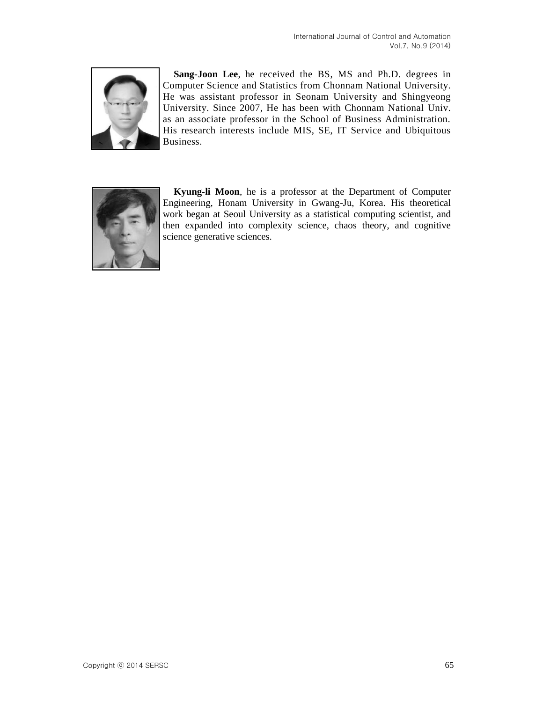

**Sang-Joon Lee**, he received the BS, MS and Ph.D. degrees in Computer Science and Statistics from Chonnam National University. He was assistant professor in Seonam University and Shingyeong University. Since 2007, He has been with Chonnam National Univ. as an associate professor in the School of Business Administration. His research interests include MIS, SE, IT Service and Ubiquitous Business.



**Kyung-li Moon**, he is a professor at the Department of Computer Engineering, Honam University in Gwang-Ju, Korea. His theoretical work began at Seoul University as a statistical computing scientist, and then expanded into complexity science, chaos theory, and cognitive science generative sciences.